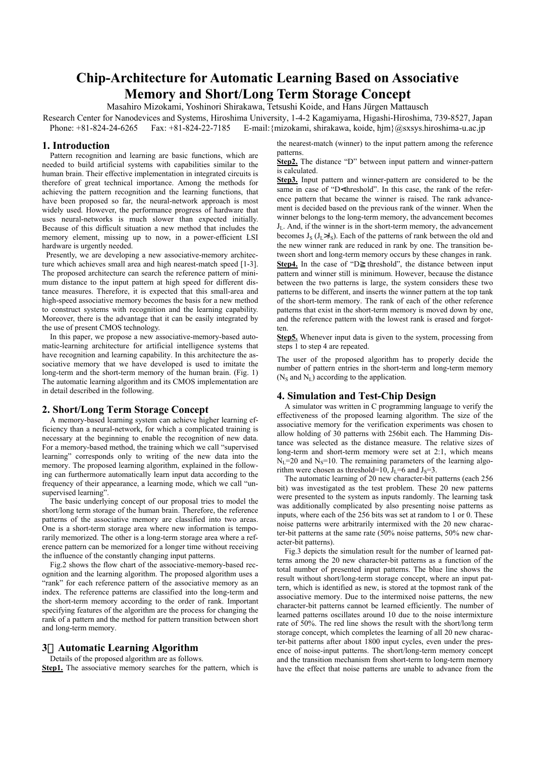# **Chip-Architecture for Automatic Learning Based on Associative Memory and Short/Long Term Storage Concept**

Masahiro Mizokami, Yoshinori Shirakawa, Tetsushi Koide, and Hans Jürgen Mattausch

Research Center for Nanodevices and Systems, Hiroshima University, 1-4-2 Kagamiyama, Higashi-Hiroshima, 739-8527, Japan Phone: +81-824-24-6265 Fax: +81-824-22-7185 E-mail:{mizokami, shirakawa, koide, hjm}@sxsys.hiroshima-u.ac.jp

## **1. Introduction**

Pattern recognition and learning are basic functions, which are needed to build artificial systems with capabilities similar to the human brain. Their effective implementation in integrated circuits is therefore of great technical importance. Among the methods for achieving the pattern recognition and the learning functions, that have been proposed so far, the neural-network approach is most widely used. However, the performance progress of hardware that uses neural-networks is much slower than expected initially. Because of this difficult situation a new method that includes the memory element, missing up to now, in a power-efficient LSI hardware is urgently needed.

Presently, we are developing a new associative-memory architecture which achieves small area and high nearest-match speed [1-3]. The proposed architecture can search the reference pattern of minimum distance to the input pattern at high speed for different distance measures. Therefore, it is expected that this small-area and high-speed associative memory becomes the basis for a new method to construct systems with recognition and the learning capability. Moreover, there is the advantage that it can be easily integrated by the use of present CMOS technology.

In this paper, we propose a new associative-memory-based automatic-learning architecture for artificial intelligence systems that have recognition and learning capability. In this architecture the associative memory that we have developed is used to imitate the long-term and the short-term memory of the human brain. (Fig. 1) The automatic learning algorithm and its CMOS implementation are in detail described in the following.

## **2. Short/Long Term Storage Concept**

A memory-based learning system can achieve higher learning efficiency than a neural-network, for which a complicated training is necessary at the beginning to enable the recognition of new data. For a memory-based method, the training which we call "supervised learning" corresponds only to writing of the new data into the memory. The proposed learning algorithm, explained in the following can furthermore automatically learn input data according to the frequency of their appearance, a learning mode, which we call "unsupervised learning".

The basic underlying concept of our proposal tries to model the short/long term storage of the human brain. Therefore, the reference patterns of the associative memory are classified into two areas. One is a short-term storage area where new information is temporarily memorized. The other is a long-term storage area where a reference pattern can be memorized for a longer time without receiving the influence of the constantly changing input patterns.

Fig.2 shows the flow chart of the associative-memory-based recognition and the learning algorithm. The proposed algorithm uses a "rank" for each reference pattern of the associative memory as an index. The reference patterns are classified into the long-term and the short-term memory according to the order of rank. Important specifying features of the algorithm are the process for changing the rank of a pattern and the method for pattern transition between short and long-term memory.

# **3 Automatic Learning Algorithm**

Details of the proposed algorithm are as follows.

**Step1.** The associative memory searches for the pattern, which is

the nearest-match (winner) to the input pattern among the reference patterns.

**Step2.** The distance "D" between input pattern and winner-pattern is calculated.

**Step3.** Input pattern and winner-pattern are considered to be the same in case of "D<threshold". In this case, the rank of the reference pattern that became the winner is raised. The rank advancement is decided based on the previous rank of the winner. When the winner belongs to the long-term memory, the advancement becomes JL. And, if the winner is in the short-term memory, the advancement becomes  $J_S$  ( $J_L > J_S$ ). Each of the patterns of rank between the old and the new winner rank are reduced in rank by one. The transition between short and long-term memory occurs by these changes in rank. **Step4.** In the case of "D threshold", the distance between input pattern and winner still is minimum. However, because the distance between the two patterns is large, the system considers these two patterns to be different, and inserts the winner pattern at the top tank of the short-term memory. The rank of each of the other reference patterns that exist in the short-term memory is moved down by one, and the reference pattern with the lowest rank is erased and forgotten.

**Step5.** Whenever input data is given to the system, processing from steps 1 to step 4 are repeated.

The user of the proposed algorithm has to properly decide the number of pattern entries in the short-term and long-term memory ( $N<sub>S</sub>$  and  $N<sub>L</sub>$ ) according to the application.

### **4. Simulation and Test-Chip Design**

A simulator was written in C programming language to verify the effectiveness of the proposed learning algorithm. The size of the associative memory for the verification experiments was chosen to allow holding of 30 patterns with 256bit each. The Hamming Distance was selected as the distance measure. The relative sizes of long-term and short-term memory were set at 2:1, which means  $N_I$ =20 and  $N_S$ =10. The remaining parameters of the learning algorithm were chosen as threshold=10,  $J_I$ =6 and  $J_S$ =3.

The automatic learning of 20 new character-bit patterns (each 256 bit) was investigated as the test problem. These 20 new patterns were presented to the system as inputs randomly. The learning task was additionally complicated by also presenting noise patterns as inputs, where each of the 256 bits was set at random to 1 or 0. These noise patterns were arbitrarily intermixed with the 20 new character-bit patterns at the same rate (50% noise patterns, 50% new character-bit patterns).

Fig.3 depicts the simulation result for the number of learned patterns among the 20 new character-bit patterns as a function of the total number of presented input patterns. The blue line shows the result without short/long-term storage concept, where an input pattern, which is identified as new, is stored at the topmost rank of the associative memory. Due to the intermixed noise patterns, the new character-bit patterns cannot be learned efficiently. The number of learned patterns oscillates around 10 due to the noise intermixture rate of 50%. The red line shows the result with the short/long term storage concept, which completes the learning of all 20 new character-bit patterns after about 1800 input cycles, even under the presence of noise-input patterns. The short/long-term memory concept and the transition mechanism from short-term to long-term memory have the effect that noise patterns are unable to advance from the